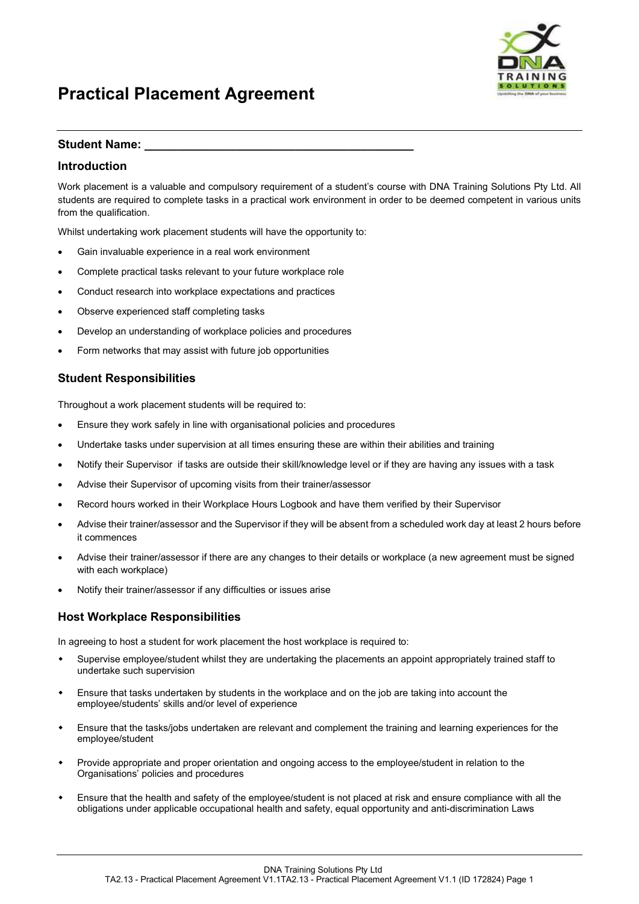

#### Student Name:

#### Introduction

Work placement is a valuable and compulsory requirement of a student's course with DNA Training Solutions Pty Ltd. All students are required to complete tasks in a practical work environment in order to be deemed competent in various units from the qualification.

Whilst undertaking work placement students will have the opportunity to:

- Gain invaluable experience in a real work environment
- Complete practical tasks relevant to your future workplace role
- Conduct research into workplace expectations and practices
- Observe experienced staff completing tasks
- Develop an understanding of workplace policies and procedures
- Form networks that may assist with future job opportunities

#### Student Responsibilities

Throughout a work placement students will be required to:

- Ensure they work safely in line with organisational policies and procedures
- Undertake tasks under supervision at all times ensuring these are within their abilities and training
- Notify their Supervisor if tasks are outside their skill/knowledge level or if they are having any issues with a task
- Advise their Supervisor of upcoming visits from their trainer/assessor
- Record hours worked in their Workplace Hours Logbook and have them verified by their Supervisor
- Advise their trainer/assessor and the Supervisor if they will be absent from a scheduled work day at least 2 hours before it commences
- Advise their trainer/assessor if there are any changes to their details or workplace (a new agreement must be signed with each workplace)
- Notify their trainer/assessor if any difficulties or issues arise

### Host Workplace Responsibilities

In agreeing to host a student for work placement the host workplace is required to:

- Supervise employee/student whilst they are undertaking the placements an appoint appropriately trained staff to undertake such supervision
- Ensure that tasks undertaken by students in the workplace and on the job are taking into account the employee/students' skills and/or level of experience
- Ensure that the tasks/jobs undertaken are relevant and complement the training and learning experiences for the employee/student
- Provide appropriate and proper orientation and ongoing access to the employee/student in relation to the Organisations' policies and procedures
- Ensure that the health and safety of the employee/student is not placed at risk and ensure compliance with all the obligations under applicable occupational health and safety, equal opportunity and anti-discrimination Laws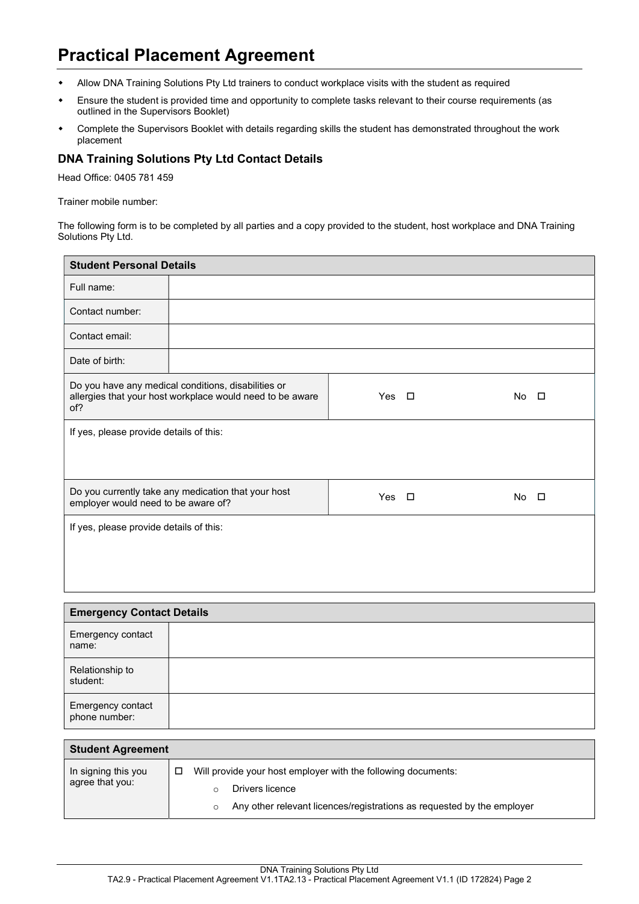- Allow DNA Training Solutions Pty Ltd trainers to conduct workplace visits with the student as required
- Ensure the student is provided time and opportunity to complete tasks relevant to their course requirements (as outlined in the Supervisors Booklet)
- Complete the Supervisors Booklet with details regarding skills the student has demonstrated throughout the work placement

### DNA Training Solutions Pty Ltd Contact Details

Head Office: 0405 781 459

Trainer mobile number:

The following form is to be completed by all parties and a copy provided to the student, host workplace and DNA Training Solutions Pty Ltd.

| <b>Student Personal Details</b>                                                                                         |  |            |  |     |        |
|-------------------------------------------------------------------------------------------------------------------------|--|------------|--|-----|--------|
| Full name:                                                                                                              |  |            |  |     |        |
| Contact number:                                                                                                         |  |            |  |     |        |
| Contact email:                                                                                                          |  |            |  |     |        |
| Date of birth:                                                                                                          |  |            |  |     |        |
| Do you have any medical conditions, disabilities or<br>allergies that your host workplace would need to be aware<br>of? |  | Yes $\Box$ |  | No. | $\Box$ |
| If yes, please provide details of this:                                                                                 |  |            |  |     |        |
| Do you currently take any medication that your host<br>employer would need to be aware of?                              |  | Yes $\Box$ |  | No. | $\Box$ |
| If yes, please provide details of this:                                                                                 |  |            |  |     |        |
|                                                                                                                         |  |            |  |     |        |

|                                    | <b>Emergency Contact Details</b> |  |  |
|------------------------------------|----------------------------------|--|--|
| Emergency contact<br>name:         |                                  |  |  |
| Relationship to<br>student:        |                                  |  |  |
| Emergency contact<br>phone number: |                                  |  |  |

| <b>Student Agreement</b>               |                                                                                                                                                            |  |
|----------------------------------------|------------------------------------------------------------------------------------------------------------------------------------------------------------|--|
| In signing this you<br>agree that you: | Will provide your host employer with the following documents:<br>Drivers licence<br>Any other relevant licences/registrations as reguested by the employer |  |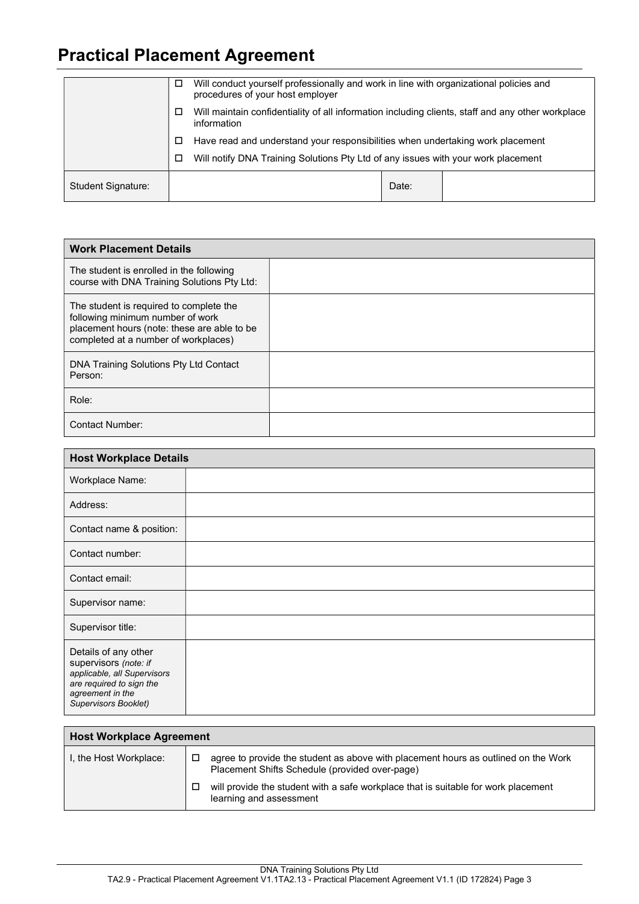|                    | □ | Will conduct yourself professionally and work in line with organizational policies and<br>procedures of your host employer |       |  |
|--------------------|---|----------------------------------------------------------------------------------------------------------------------------|-------|--|
|                    | □ | Will maintain confidentiality of all information including clients, staff and any other workplace<br>information           |       |  |
|                    | □ | Have read and understand your responsibilities when undertaking work placement                                             |       |  |
|                    | □ | Will notify DNA Training Solutions Pty Ltd of any issues with your work placement                                          |       |  |
| Student Signature: |   |                                                                                                                            | Date: |  |

| <b>Work Placement Details</b>                                                                                                                                      |  |  |  |  |  |
|--------------------------------------------------------------------------------------------------------------------------------------------------------------------|--|--|--|--|--|
| The student is enrolled in the following<br>course with DNA Training Solutions Pty Ltd:                                                                            |  |  |  |  |  |
| The student is required to complete the<br>following minimum number of work<br>placement hours (note: these are able to be<br>completed at a number of workplaces) |  |  |  |  |  |
| DNA Training Solutions Pty Ltd Contact<br>Person:                                                                                                                  |  |  |  |  |  |
| Role:                                                                                                                                                              |  |  |  |  |  |
| Contact Number:                                                                                                                                                    |  |  |  |  |  |

| <b>Host Workplace Details</b>                                                                                                                        |  |  |
|------------------------------------------------------------------------------------------------------------------------------------------------------|--|--|
| Workplace Name:                                                                                                                                      |  |  |
| Address:                                                                                                                                             |  |  |
| Contact name & position:                                                                                                                             |  |  |
| Contact number:                                                                                                                                      |  |  |
| Contact email:                                                                                                                                       |  |  |
| Supervisor name:                                                                                                                                     |  |  |
| Supervisor title:                                                                                                                                    |  |  |
| Details of any other<br>supervisors (note: if<br>applicable, all Supervisors<br>are required to sign the<br>agreement in the<br>Supervisors Booklet) |  |  |

| <b>Host Workplace Agreement</b> |   |                                                                                                                                      |
|---------------------------------|---|--------------------------------------------------------------------------------------------------------------------------------------|
| I, the Host Workplace:          | □ | agree to provide the student as above with placement hours as outlined on the Work<br>Placement Shifts Schedule (provided over-page) |
|                                 |   | will provide the student with a safe workplace that is suitable for work placement<br>learning and assessment                        |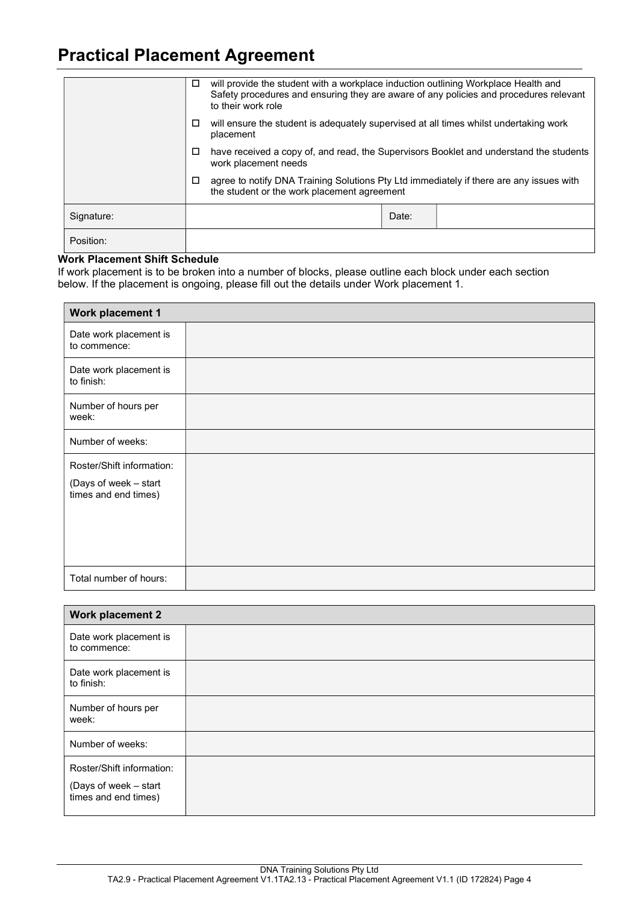|            | □ | will provide the student with a workplace induction outlining Workplace Health and<br>Safety procedures and ensuring they are aware of any policies and procedures relevant<br>to their work role |       |  |
|------------|---|---------------------------------------------------------------------------------------------------------------------------------------------------------------------------------------------------|-------|--|
|            | □ | will ensure the student is adequately supervised at all times whilst undertaking work<br>placement                                                                                                |       |  |
|            | □ | have received a copy of, and read, the Supervisors Booklet and understand the students<br>work placement needs                                                                                    |       |  |
|            | □ | agree to notify DNA Training Solutions Pty Ltd immediately if there are any issues with<br>the student or the work placement agreement                                                            |       |  |
| Signature: |   |                                                                                                                                                                                                   | Date: |  |
| Position:  |   |                                                                                                                                                                                                   |       |  |

### Work Placement Shift Schedule

If work placement is to be broken into a number of blocks, please outline each block under each section below. If the placement is ongoing, please fill out the details under Work placement 1.

| <b>Work placement 1</b>                                                    |  |  |
|----------------------------------------------------------------------------|--|--|
| Date work placement is<br>to commence:                                     |  |  |
| Date work placement is<br>to finish:                                       |  |  |
| Number of hours per<br>week:                                               |  |  |
| Number of weeks:                                                           |  |  |
| Roster/Shift information:<br>(Days of week - start<br>times and end times) |  |  |
| Total number of hours:                                                     |  |  |

| <b>Work placement 2</b>                                                    |  |
|----------------------------------------------------------------------------|--|
| Date work placement is<br>to commence:                                     |  |
| Date work placement is<br>to finish:                                       |  |
| Number of hours per<br>week:                                               |  |
| Number of weeks:                                                           |  |
| Roster/Shift information:<br>(Days of week - start<br>times and end times) |  |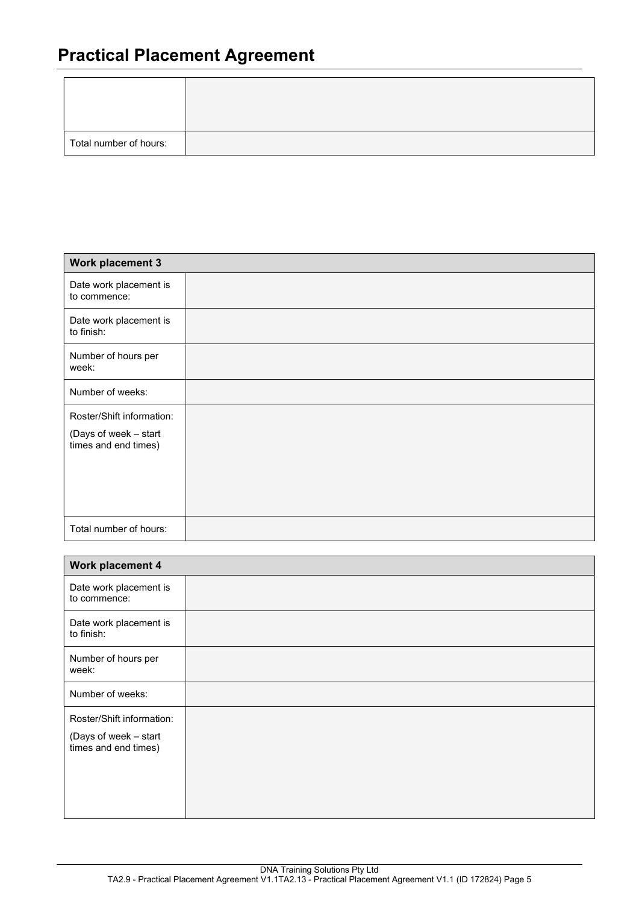| Total number of hours: |  |
|------------------------|--|

| <b>Work placement 3</b>                       |  |  |
|-----------------------------------------------|--|--|
| Date work placement is<br>to commence:        |  |  |
| Date work placement is<br>to finish:          |  |  |
| Number of hours per<br>week:                  |  |  |
| Number of weeks:                              |  |  |
| Roster/Shift information:                     |  |  |
| (Days of week - start<br>times and end times) |  |  |
|                                               |  |  |
| Total number of hours:                        |  |  |

| Work placement 4                                                           |  |  |
|----------------------------------------------------------------------------|--|--|
| Date work placement is<br>to commence:                                     |  |  |
| Date work placement is<br>to finish:                                       |  |  |
| Number of hours per<br>week:                                               |  |  |
| Number of weeks:                                                           |  |  |
| Roster/Shift information:<br>(Days of week - start<br>times and end times) |  |  |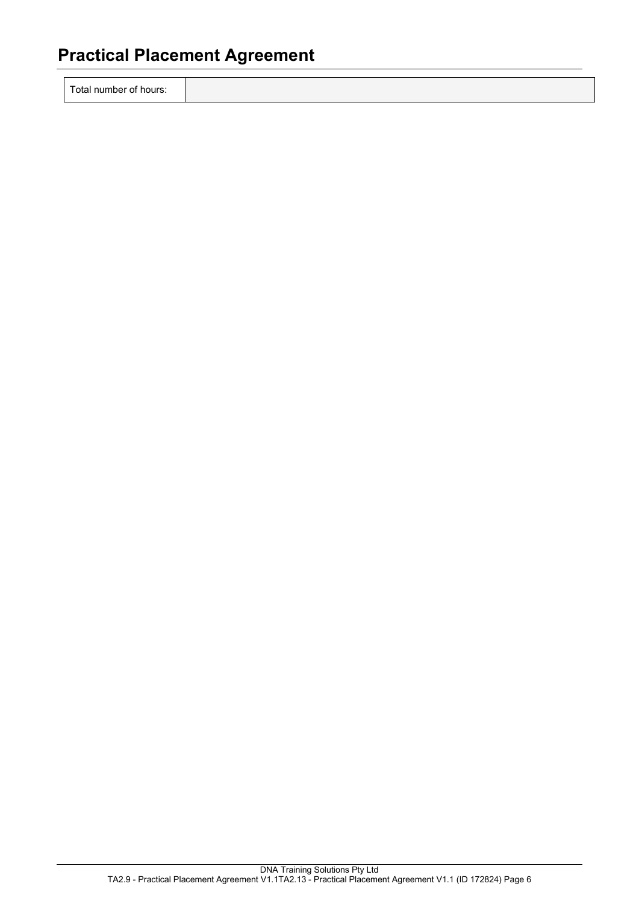Total number of hours: